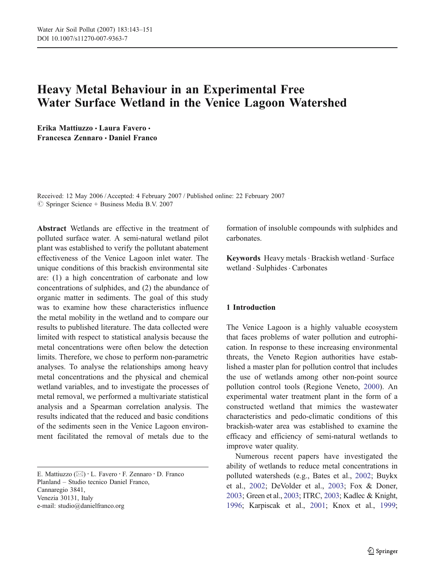# Heavy Metal Behaviour in an Experimental Free Water Surface Wetland in the Venice Lagoon Watershed

Erika Mattiuzzo & Laura Favero & Francesca Zennaro & Daniel Franco

Received: 12 May 2006 /Accepted: 4 February 2007 / Published online: 22 February 2007  $\circledcirc$  Springer Science + Business Media B.V. 2007

Abstract Wetlands are effective in the treatment of polluted surface water. A semi-natural wetland pilot plant was established to verify the pollutant abatement effectiveness of the Venice Lagoon inlet water. The unique conditions of this brackish environmental site are: (1) a high concentration of carbonate and low concentrations of sulphides, and (2) the abundance of organic matter in sediments. The goal of this study was to examine how these characteristics influence the metal mobility in the wetland and to compare our results to published literature. The data collected were limited with respect to statistical analysis because the metal concentrations were often below the detection limits. Therefore, we chose to perform non-parametric analyses. To analyse the relationships among heavy metal concentrations and the physical and chemical wetland variables, and to investigate the processes of metal removal, we performed a multivariate statistical analysis and a Spearman correlation analysis. The results indicated that the reduced and basic conditions of the sediments seen in the Venice Lagoon environment facilitated the removal of metals due to the

formation of insoluble compounds with sulphides and carbonates.

Keywords Heavy metals · Brackish wetland · Surface wetland . Sulphides. Carbonates

## 1 Introduction

The Venice Lagoon is a highly valuable ecosystem that faces problems of water pollution and eutrophication. In response to these increasing environmental threats, the Veneto Region authorities have established a master plan for pollution control that includes the use of wetlands among other non-point source pollution control tools (Regione Veneto, [2000](#page-8-0)). An experimental water treatment plant in the form of a constructed wetland that mimics the wastewater characteristics and pedo-climatic conditions of this brackish-water area was established to examine the efficacy and efficiency of semi-natural wetlands to improve water quality.

Numerous recent papers have investigated the ability of wetlands to reduce metal concentrations in polluted watersheds (e.g., Bates et al., [2002](#page-7-0); Buykx et al., [2002](#page-7-0); DeVolder et al., [2003](#page-7-0); Fox & Doner, [2003](#page-7-0); Green et al., [2003](#page-7-0); ITRC, [2003](#page-7-0); Kadlec & Knight, [1996](#page-7-0); Karpiscak et al., [2001](#page-7-0); Knox et al., [1999](#page-7-0);

E. Mattiuzzo ( $\boxtimes$ ) · L. Favero · F. Zennaro · D. Franco Planland – Studio tecnico Daniel Franco, Cannaregio 3841, Venezia 30131, Italy e-mail: studio@danielfranco.org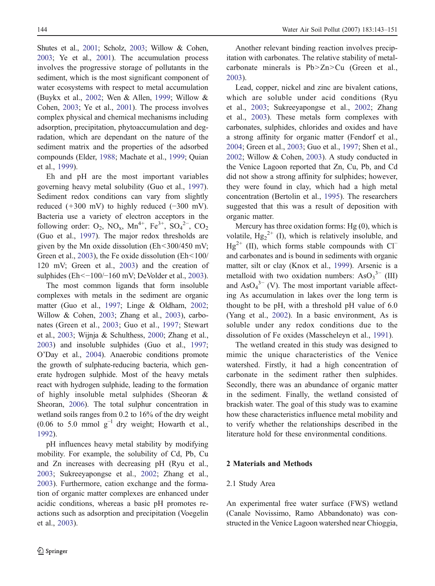Shutes et al., [2001](#page-8-0); Scholz, [2003](#page-8-0); Willow & Cohen, [2003](#page-8-0); Ye et al., [2001](#page-8-0)). The accumulation process involves the progressive storage of pollutants in the sediment, which is the most significant component of water ecosystems with respect to metal accumulation (Buykx et al., [2002](#page-7-0); Wen & Allen, [1999](#page-8-0); Willow & Cohen, [2003](#page-8-0); Ye et al., [2001](#page-8-0)). The process involves complex physical and chemical mechanisms including adsorption, precipitation, phytoaccumulation and degradation, which are dependant on the nature of the sediment matrix and the properties of the adsorbed compounds (Elder, [1988](#page-7-0); Machate et al., [1999](#page-8-0); Quian et al., [1999](#page-8-0)).

Eh and pH are the most important variables governing heavy metal solubility (Guo et al., [1997](#page-7-0)). Sediment redox conditions can vary from slightly reduced (+300 mV) to highly reduced (−300 mV). Bacteria use a variety of electron acceptors in the following order:  $O_2$ ,  $NO_x$ ,  $Mn^{4+}$ ,  $Fe^{3+}$ ,  $SO_4^{2-}$ ,  $CO_2$ (Guo et al., [1997](#page-7-0)). The major redox thresholds are given by the Mn oxide dissolution ( $Eh < 300/450$  mV; Green et al., [2003](#page-7-0)), the Fe oxide dissolution (Eh<100/ 120 mV; Green et al., [2003](#page-7-0)) and the creation of sulphides (Eh<-100/−160 mV; DeVolder et al., [2003](#page-7-0)).

The most common ligands that form insoluble complexes with metals in the sediment are organic matter (Guo et al., [1997](#page-7-0); Linge & Oldham, [2002](#page-7-0); Willow & Cohen, [2003](#page-8-0); Zhang et al., [2003](#page-8-0)), carbonates (Green et al., [2003](#page-7-0); Guo et al., [1997](#page-7-0); Stewart et al., [2003](#page-8-0); Wijnja & Schulthess, [2000](#page-8-0); Zhang et al., [2003](#page-8-0)) and insoluble sulphides (Guo et al., [1997](#page-7-0); O'Day et al., [2004](#page-8-0)). Anaerobic conditions promote the growth of sulphate-reducing bacteria, which generate hydrogen sulphide. Most of the heavy metals react with hydrogen sulphide, leading to the formation of highly insoluble metal sulphides (Sheoran & Sheoran, [2006](#page-8-0)). The total sulphur concentration in wetland soils ranges from 0.2 to 16% of the dry weight (0.06 to 5.0 mmol  $g^{-1}$  dry weight; Howarth et al., [1992](#page-7-0)).

pH influences heavy metal stability by modifying mobility. For example, the solubility of Cd, Pb, Cu and Zn increases with decreasing pH (Ryu et al., [2003](#page-8-0); Sukreeyapongse et al., [2002](#page-8-0); Zhang et al., [2003](#page-8-0)). Furthermore, cation exchange and the formation of organic matter complexes are enhanced under acidic conditions, whereas a basic pH promotes reactions such as adsorption and precipitation (Voegelin et al., [2003](#page-8-0)).

Another relevant binding reaction involves precipitation with carbonates. The relative stability of metalcarbonate minerals is Pb>Zn>Cu (Green et al., [2003](#page-7-0)).

Lead, copper, nickel and zinc are bivalent cations, which are soluble under acid conditions (Ryu et al., [2003](#page-8-0); Sukreeyapongse et al., [2002](#page-8-0); Zhang et al., [2003](#page-8-0)). These metals form complexes with carbonates, sulphides, chlorides and oxides and have a strong affinity for organic matter (Fendorf et al., [2004](#page-7-0); Green et al., [2003](#page-7-0); Guo et al., [1997](#page-7-0); Shen et al., [2002](#page-8-0); Willow & Cohen, [2003](#page-8-0)). A study conducted in the Venice Lagoon reported that Zn, Cu, Pb, and Cd did not show a strong affinity for sulphides; however, they were found in clay, which had a high metal concentration (Bertolin et al., [1995](#page-7-0)). The researchers suggested that this was a result of deposition with organic matter.

Mercury has three oxidation forms: Hg (0), which is volatile,  $Hg_2^{2+}$  (I), which is relatively insoluble, and  $Hg^{2+}$  (II), which forms stable compounds with Cl<sup>−</sup> and carbonates and is bound in sediments with organic matter, silt or clay (Knox et al., [1999](#page-7-0)). Arsenic is a metalloid with two oxidation numbers:  $AsO<sub>3</sub><sup>3-</sup> (III)$ and  $\text{AsO}_4^{3-}$  (V). The most important variable affecting As accumulation in lakes over the long term is thought to be pH, with a threshold pH value of 6.0 (Yang et al., [2002](#page-8-0)). In a basic environment, As is soluble under any redox conditions due to the dissolution of Fe oxides (Masscheleyn et al., [1991](#page-8-0)).

The wetland created in this study was designed to mimic the unique characteristics of the Venice watershed. Firstly, it had a high concentration of carbonate in the sediment rather then sulphides. Secondly, there was an abundance of organic matter in the sediment. Finally, the wetland consisted of brackish water. The goal of this study was to examine how these characteristics influence metal mobility and to verify whether the relationships described in the literature hold for these environmental conditions.

## 2 Materials and Methods

#### 2.1 Study Area

An experimental free water surface (FWS) wetland (Canale Novissimo, Ramo Abbandonato) was constructed in the Venice Lagoon watershed near Chioggia,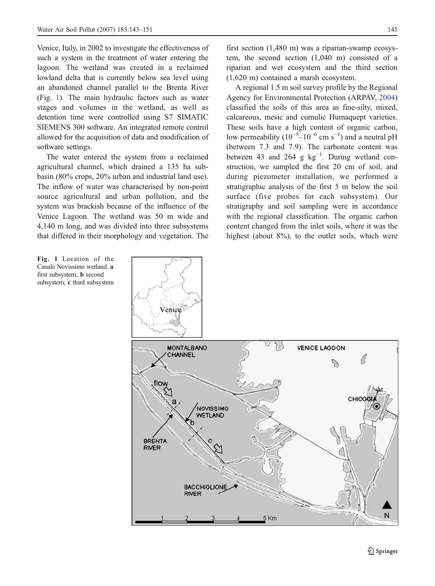Venice, Italy, in 2002 to investigate the effectiveness of such a system in the treatment of water entering the lagoon. The wetland was created in a reclaimed lowland delta that is currently below sea level using an abandoned channel parallel to the Brenta River (Fig. 1). The main hydraulic factors such as water stages and volumes in the wetland, as well as detention time were controlled using S7 SIMATIC SIEMENS 300 software. An integrated remote control allowed for the acquisition of data and modification of software settings.

The water entered the system from a reclaimed agricultural channel, which drained a 135 ha subbasin (80% crops, 20% urban and industrial land use). The inflow of water was characterised by non-point source agricultural and urban pollution, and the system was brackish because of the influence of the Venice Lagoon. The wetland was 50 m wide and 4,140 m long, and was divided into three subsystems that differed in their morphology and vegetation. The

first section (1,480 m) was a riparian-swamp ecosystem, the second section (1,040 m) consisted of a riparian and wet ecosystem and the third section (1,620 m) contained a marsh ecosystem.

A regional 1.5 m soil survey profile by the Regional Agency for Environmental Protection (ARPAV, [2004](#page-7-0)) classified the soils of this area as fine-silty, mixed, calcareous, mesic and cumulic Humaquept varieties. These soils have a high content of organic carbon, low permeability  $(10^{-5} - 10^{-6} \text{ cm s}^{-1})$  and a neutral pH (between 7.3 and 7.9). The carbonate content was between 43 and 264 g  $kg^{-1}$ . During wetland construction, we sampled the first 20 cm of soil, and during piezometer installation, we performed a stratigraphic analysis of the first 5 m below the soil surface (five probes for each subsystem). Our stratigraphy and soil sampling were in accordance with the regional classification. The organic carbon content changed from the inlet soils, where it was the highest (about 8%), to the outlet soils, which were



Fig. 1 Location of the Canale Novissimo wetland. a first subsystem; b second subsystem; c third subsystem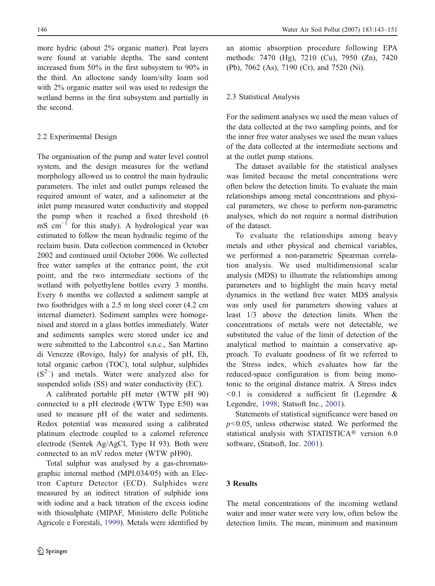more hydric (about 2% organic matter). Peat layers were found at variable depths. The sand content increased from 50% in the first subsystem to 90% in the third. An alloctone sandy loam/silty loam soil with 2% organic matter soil was used to redesign the wetland berms in the first subsystem and partially in the second.

## 2.2 Experimental Design

The organisation of the pump and water level control system, and the design measures for the wetland morphology allowed us to control the main hydraulic parameters. The inlet and outlet pumps released the required amount of water, and a salinometer at the inlet pump measured water conductivity and stopped the pump when it reached a fixed threshold (6 mS cm−<sup>1</sup> for this study). A hydrological year was estimated to follow the mean hydraulic regime of the reclaim basin. Data collection commenced in October 2002 and continued until October 2006. We collected free water samples at the entrance point, the exit point, and the two intermediate sections of the wetland with polyethylene bottles every 3 months. Every 6 months we collected a sediment sample at two footbridges with a 2.5 m long steel corer (4.2 cm internal diameter). Sediment samples were homogenised and stored in a glass bottles immediately. Water and sediments samples were stored under ice and were submitted to the Labcontrol s.n.c., San Martino di Venezze (Rovigo, Italy) for analysis of pH, Eh, total organic carbon (TOC), total sulphur, sulphides (S<sup>2−</sup>) and metals. Water were analyzed also for suspended solids (SS) and water conductivity (EC).

A calibrated portable pH meter (WTW pH 90) connected to a pH electrode (WTW Type E50) was used to measure pH of the water and sediments. Redox potential was measured using a calibrated platinum electrode coupled to a calomel reference electrode (Sentek Ag/AgCl, Type H 93). Both were connected to an mV redox meter (WTW pH90).

Total sulphur was analysed by a gas-chromatographic internal method (MPI.034/05) with an Electron Capture Detector (ECD). Sulphides were measured by an indirect titration of sulphide ions with iodine and a back titration of the excess iodine with thiosulphate (MIPAF, Ministero delle Politiche Agricole e Forestali, [1999](#page-8-0)). Metals were identified by an atomic absorption procedure following EPA methods: 7470 (Hg), 7210 (Cu), 7950 (Zn), 7420 (Pb), 7062 (As), 7190 (Cr), and 7520 (Ni).

# 2.3 Statistical Analysis

For the sediment analyses we used the mean values of the data collected at the two sampling points, and for the inner free water analyses we used the mean values of the data collected at the intermediate sections and at the outlet pump stations.

The dataset available for the statistical analyses was limited because the metal concentrations were often below the detection limits. To evaluate the main relationships among metal concentrations and physical parameters, we chose to perform non-parametric analyses, which do not require a normal distribution of the dataset.

To evaluate the relationships among heavy metals and other physical and chemical variables, we performed a non-parametric Spearman correlation analysis. We used multidimensional scalar analysis (MDS) to illustrate the relationships among parameters and to highlight the main heavy metal dynamics in the wetland free water. MDS analysis was only used for parameters showing values at least 1/3 above the detection limits. When the concentrations of metals were not detectable, we substituted the value of the limit of detection of the analytical method to maintain a conservative approach. To evaluate goodness of fit we referred to the Stress index, which evaluates how far the reduced-space configuration is from being monotonic to the original distance matrix. A Stress index  $\leq 0.1$  is considered a sufficient fit (Legendre & Legendre, [1998](#page-7-0); Statsoft Inc., [2001](#page-8-0)).

Statements of statistical significance were based on  $p<0.05$ , unless otherwise stated. We performed the statistical analysis with STATISTICA® version 6.0 software, (Statsoft, Inc. [2001](#page-8-0)).

# 3 Results

The metal concentrations of the incoming wetland water and inner water were very low, often below the detection limits. The mean, minimum and maximum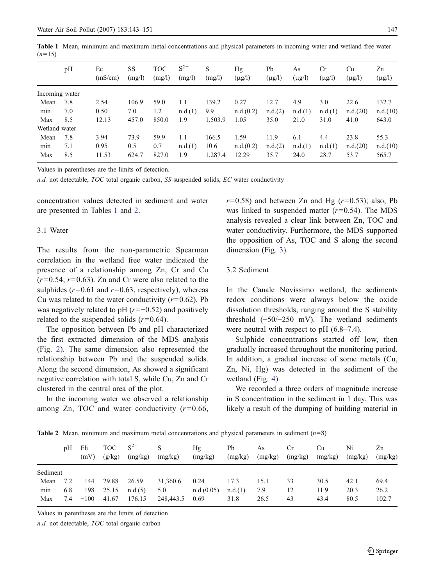Table 1 Mean, minimum and maximum metal concentrations and physical parameters in incoming water and wetland free water  $(n=15)$ 

|                | pH  | Ec<br>(mS/cm) | SS<br>(mg/l) | <b>TOC</b><br>(mg/l) | $S^{2-}$<br>(mg/l) | S<br>(mg/l) | Hg<br>$(\mu g/l)$ | Pb<br>$(\mu g/l)$ | As<br>$(\mu g/l)$ | <b>Cr</b><br>$(\mu g/l)$ | Cu<br>$(\mu g/l)$ | Zn<br>$(\mu g/l)$ |
|----------------|-----|---------------|--------------|----------------------|--------------------|-------------|-------------------|-------------------|-------------------|--------------------------|-------------------|-------------------|
| Incoming water |     |               |              |                      |                    |             |                   |                   |                   |                          |                   |                   |
| Mean           | 7.8 | 2.54          | 106.9        | 59.0                 | 1.1                | 139.2       | 0.27              | 12.7              | 4.9               | 3.0                      | 22.6              | 132.7             |
| min            | 7.0 | 0.50          | 7.0          | 1.2                  | n.d.(1)            | 9.9         | n.d.(0.2)         | n.d.(2)           | n.d.(1)           | n.d.(1)                  | n.d.(20)          | n.d.(10)          |
| Max            | 8.5 | 12.13         | 457.0        | 850.0                | 1.9                | 1,503.9     | 1.05              | 35.0              | 21.0              | 31.0                     | 41.0              | 643.0             |
| Wetland water  |     |               |              |                      |                    |             |                   |                   |                   |                          |                   |                   |
| Mean           | 7.8 | 3.94          | 73.9         | 59.9                 | 1.1                | 166.5       | 1.59              | 11.9              | 6.1               | 4.4                      | 23.8              | 55.3              |
| min            | 7.1 | 0.95          | 0.5          | 0.7                  | n.d.(1)            | 10.6        | n.d.(0.2)         | n.d.(2)           | n.d.(1)           | n.d.(1)                  | n.d.(20)          | n.d.(10)          |
| Max            | 8.5 | 11.53         | 624.7        | 827.0                | 1.9                | 1,287.4     | 12.29             | 35.7              | 24.0              | 28.7                     | 53.7              | 565.7             |

Values in parentheses are the limits of detection.

n.d. not detectable, TOC total organic carbon, SS suspended solids, EC water conductivity

concentration values detected in sediment and water are presented in Tables 1 and 2.

#### 3.1 Water

The results from the non-parametric Spearman correlation in the wetland free water indicated the presence of a relationship among Zn, Cr and Cu  $(r=0.54, r=0.63)$ . Zn and Cr were also related to the sulphides ( $r=0.61$  and  $r=0.63$ , respectively), whereas Cu was related to the water conductivity  $(r=0.62)$ . Pb was negatively related to pH  $(r=-0.52)$  and positively related to the suspended solids  $(r=0.64)$ .

The opposition between Pb and pH characterized the first extracted dimension of the MDS analysis (Fig. [2](#page-5-0)). The same dimension also represented the relationship between Pb and the suspended solids. Along the second dimension, As showed a significant negative correlation with total S, while Cu, Zn and Cr clustered in the central area of the plot.

In the incoming water we observed a relationship among Zn, TOC and water conductivity  $(r=0.66,$   $r=0.58$ ) and between Zn and Hg ( $r=0.53$ ); also, Pb was linked to suspended matter  $(r=0.54)$ . The MDS analysis revealed a clear link between Zn, TOC and water conductivity. Furthermore, the MDS supported the opposition of As, TOC and S along the second dimension (Fig. [3](#page-5-0)).

# 3.2 Sediment

In the Canale Novissimo wetland, the sediments redox conditions were always below the oxide dissolution thresholds, ranging around the S stability threshold (−50/−250 mV). The wetland sediments were neutral with respect to pH  $(6.8-7.4)$ .

Sulphide concentrations started off low, then gradually increased throughout the monitoring period. In addition, a gradual increase of some metals (Cu, Zn, Ni, Hg) was detected in the sediment of the wetland (Fig. [4](#page-5-0)).

We recorded a three orders of magnitude increase in S concentration in the sediment in 1 day. This was likely a result of the dumping of building material in

pH Eh (mV) TOC  $(g/kg)$  $S^{2}$ (mg/kg) S (mg/kg) Hg (mg/kg) Pb (mg/kg) As (mg/kg) Cr (mg/kg) Cu (mg/kg) Ni (mg/kg) Zn (mg/kg) Sediment Mean 7.2 −144 29.88 26.59 31,360.6 0.24 17.3 15.1 33 30.5 42.1 69.4 min 6.8 −198 25.15 n.d.(5) 5.0 n.d.(0.05) n.d.(1) 7.9 12 11.9 20.3 26.2 Max 7.4 −100 41.67 176.15 248,443.5 0.69 31.8 26.5 43 43.4 80.5 102.7

**Table 2** Mean, minimum and maximum metal concentrations and physical parameters in sediment  $(n=8)$ 

Values in parentheses are the limits of detection

n.d. not detectable, TOC total organic carbon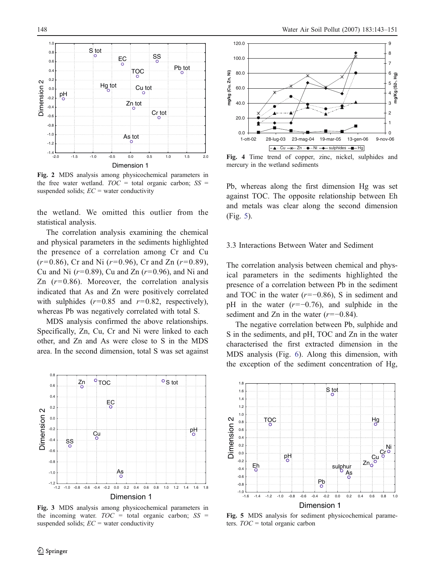<span id="page-5-0"></span>

Fig. 2 MDS analysis among physicochemical parameters in the free water wetland.  $TOC = total$  organic carbon;  $SS =$ suspended solids;  $EC$  = water conductivity

the wetland. We omitted this outlier from the statistical analysis.

The correlation analysis examining the chemical and physical parameters in the sediments highlighted the presence of a correlation among Cr and Cu  $(r=0.86)$ , Cr and Ni  $(r=0.96)$ , Cr and Zn  $(r=0.89)$ , Cu and Ni  $(r=0.89)$ , Cu and Zn  $(r=0.96)$ , and Ni and Zn  $(r=0.86)$ . Moreover, the correlation analysis indicated that As and Zn were positively correlated with sulphides  $(r=0.85$  and  $r=0.82$ , respectively), whereas Pb was negatively correlated with total S.

MDS analysis confirmed the above relationships. Specifically, Zn, Cu, Cr and Ni were linked to each other, and Zn and As were close to S in the MDS area. In the second dimension, total S was set against



Fig. 3 MDS analysis among physicochemical parameters in the incoming water.  $TOC =$  total organic carbon;  $SS =$ suspended solids;  $EC$  = water conductivity



Fig. 4 Time trend of copper, zinc, nickel, sulphides and mercury in the wetland sediments

Pb, whereas along the first dimension Hg was set against TOC. The opposite relationship between Eh and metals was clear along the second dimension (Fig. 5).

## 3.3 Interactions Between Water and Sediment

The correlation analysis between chemical and physical parameters in the sediments highlighted the presence of a correlation between Pb in the sediment and TOC in the water  $(r=-0.86)$ , S in sediment and pH in the water  $(r=-0.76)$ , and sulphide in the sediment and Zn in the water  $(r=-0.84)$ .

The negative correlation between Pb, sulphide and S in the sediments, and pH, TOC and Zn in the water characterised the first extracted dimension in the MDS analysis (Fig. [6](#page-6-0)). Along this dimension, with the exception of the sediment concentration of Hg,



Fig. 5 MDS analysis for sediment physicochemical parameters.  $TOC =$  total organic carbon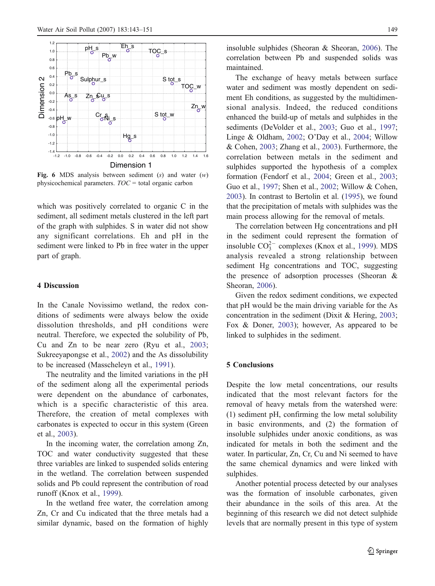<span id="page-6-0"></span>

Fig. 6 MDS analysis between sediment  $(s)$  and water  $(w)$ physicochemical parameters.  $TOC =$  total organic carbon

which was positively correlated to organic C in the sediment, all sediment metals clustered in the left part of the graph with sulphides. S in water did not show any significant correlations. Eh and pH in the sediment were linked to Pb in free water in the upper part of graph.

## 4 Discussion

In the Canale Novissimo wetland, the redox conditions of sediments were always below the oxide dissolution thresholds, and pH conditions were neutral. Therefore, we expected the solubility of Pb, Cu and Zn to be near zero (Ryu et al., [2003](#page-8-0); Sukreeyapongse et al., [2002](#page-8-0)) and the As dissolubility to be increased (Masscheleyn et al., [1991](#page-8-0)).

The neutrality and the limited variations in the pH of the sediment along all the experimental periods were dependent on the abundance of carbonates, which is a specific characteristic of this area. Therefore, the creation of metal complexes with carbonates is expected to occur in this system (Green et al., [2003](#page-7-0)).

In the incoming water, the correlation among Zn, TOC and water conductivity suggested that these three variables are linked to suspended solids entering in the wetland. The correlation between suspended solids and Pb could represent the contribution of road runoff (Knox et al., [1999](#page-7-0)).

In the wetland free water, the correlation among Zn, Cr and Cu indicated that the three metals had a similar dynamic, based on the formation of highly insoluble sulphides (Sheoran & Sheoran, [2006](#page-8-0)). The correlation between Pb and suspended solids was maintained.

The exchange of heavy metals between surface water and sediment was mostly dependent on sediment Eh conditions, as suggested by the multidimensional analysis. Indeed, the reduced conditions enhanced the build-up of metals and sulphides in the sediments (DeVolder et al., [2003](#page-7-0); Guo et al., [1997](#page-7-0); Linge & Oldham, [2002](#page-7-0); O'Day et al., [2004](#page-8-0); Willow & Cohen, [2003](#page-8-0); Zhang et al., [2003](#page-8-0)). Furthermore, the correlation between metals in the sediment and sulphides supported the hypothesis of a complex formation (Fendorf et al., [2004](#page-7-0); Green et al., [2003](#page-7-0); Guo et al., [1997](#page-7-0); Shen et al., [2002](#page-8-0); Willow & Cohen, [2003](#page-8-0)). In contrast to Bertolin et al. [\(1995](#page-7-0)), we found that the precipitation of metals with sulphides was the main process allowing for the removal of metals.

The correlation between Hg concentrations and pH in the sediment could represent the formation of insoluble  $CO_3^{2-}$  complexes (Knox et al., [1999](#page-7-0)). MDS analysis revealed a strong relationship between sediment Hg concentrations and TOC, suggesting the presence of adsorption processes (Sheoran & Sheoran, [2006](#page-8-0)).

Given the redox sediment conditions, we expected that pH would be the main driving variable for the As concentration in the sediment (Dixit & Hering, [2003](#page-7-0); Fox & Doner, [2003](#page-7-0)); however, As appeared to be linked to sulphides in the sediment.

#### 5 Conclusions

Despite the low metal concentrations, our results indicated that the most relevant factors for the removal of heavy metals from the watershed were: (1) sediment pH, confirming the low metal solubility in basic environments, and (2) the formation of insoluble sulphides under anoxic conditions, as was indicated for metals in both the sediment and the water. In particular, Zn, Cr, Cu and Ni seemed to have the same chemical dynamics and were linked with sulphides.

Another potential process detected by our analyses was the formation of insoluble carbonates, given their abundance in the soils of this area. At the beginning of this research we did not detect sulphide levels that are normally present in this type of system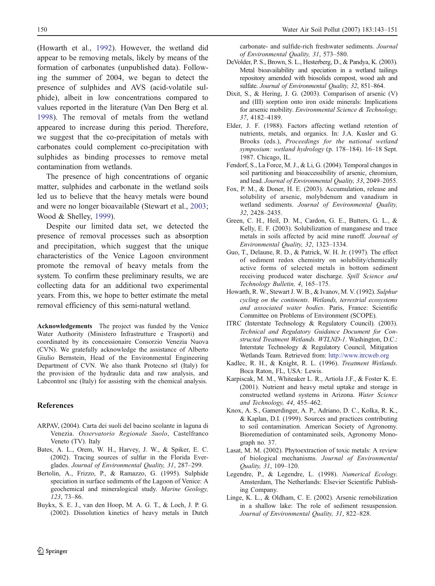<span id="page-7-0"></span>(Howarth et al., 1992). However, the wetland did appear to be removing metals, likely by means of the formation of carbonates (unpublished data). Following the summer of 2004, we began to detect the presence of sulphides and AVS (acid-volatile sulphide), albeit in low concentrations compared to values reported in the literature (Van Den Berg et al. [1998](#page-8-0)). The removal of metals from the wetland appeared to increase during this period. Therefore, we suggest that the co-precipitation of metals with carbonates could complement co-precipitation with sulphides as binding processes to remove metal contamination from wetlands.

The presence of high concentrations of organic matter, sulphides and carbonate in the wetland soils led us to believe that the heavy metals were bound and were no longer bioavailable (Stewart et al., [2003](#page-8-0); Wood & Shelley, [1999](#page-8-0)).

Despite our limited data set, we detected the presence of removal processes such as absorption and precipitation, which suggest that the unique characteristics of the Venice Lagoon environment promote the removal of heavy metals from the system. To confirm these preliminary results, we are collecting data for an additional two experimental years. From this, we hope to better estimate the metal removal efficiency of this semi-natural wetland.

Acknowledgements The project was funded by the Venice Water Authority (Ministero Infrastrutture e Trasporti) and coordinated by its concessionaire Consorzio Venezia Nuova (CVN). We gratefully acknowledge the assistance of Alberto Giulio Bernstein, Head of the Environmental Engineering Department of CVN. We also thank Protecno srl (Italy) for the provision of the hydraulic data and raw analysis, and Labcontrol snc (Italy) for assisting with the chemical analysis.

#### References

- ARPAV, (2004). Carta dei suoli del bacino scolante in laguna di Venezia. Osservatorio Regionale Suolo, Castelfranco Veneto (TV). Italy
- Bates, A. L., Orem, W. H., Harvey, J. W., & Spiker, E. C. (2002). Tracing sources of sulfur in the Florida Everglades. Journal of Environmental Quality, 31, 287–299.
- Bertolin, A., Frizzo, P., & Ramazzo, G. (1995). Sulphide speciation in surface sediments of the Lagoon of Venice: A geochemical and mineralogical study. Marine Geology, 123, 73–86.
- Buykx, S. E. J., van den Hoop, M. A. G. T., & Loch, J. P. G. (2002). Dissolution kinetics of heavy metals in Dutch

carbonate- and sulfide-rich freshwater sediments. Journal of Environmental Quality, 31, 573–580.

- DeVolder, P. S., Brown, S. L., Hesterberg, D., & Pandya, K. (2003). Metal bioavailability and speciation in a wetland tailings repository amended with biosolids compost, wood ash and sulfate. Journal of Environmental Quality, 32, 851–864.
- Dixit, S., & Hering, J. G. (2003). Comparison of arsenic (V) and (III) sorption onto iron oxide minerals: Implications for arsenic mobility. Environmental Science & Technology, 37, 4182–4189.
- Elder, J. F. (1988). Factors affecting wetland retention of nutrients, metals, and organics. In: J.A. Kusler and G. Brooks (eds.), Proceedings for the national wetland symposium: wetland hydrology (p. 178–184). 16–18 Sept. 1987. Chicago, IL.
- Fendorf, S., La Force, M. J., & Li, G. (2004). Temporal changes in soil partitioning and bioaccessibility of arsenic, chromium, and lead. Journal of Environmental Quality, 33, 2049–2055.
- Fox, P. M., & Doner, H. E. (2003). Accumulation, release and solubility of arsenic, molybdenum and vanadium in wetland sediments. Journal of Environmental Quality, 32, 2428–2435.
- Green, C. H., Heil, D. M., Cardon, G. E., Butters, G. L., & Kelly, E. F. (2003). Solubilization of manganese and trace metals in soils affected by acid mine runoff. Journal of Environmental Quality, 32, 1323–1334.
- Guo, T., Delaune, R. D., & Patrick, W. H. Jr. (1997). The effect of sediment redox chemistry on solubility/chemically active forms of selected metals in bottom sediment receiving produced water discharge. Spill Science and Technology Bulletin, 4, 165–175.
- Howarth, R. W., Stewart J. W. B., & Ivanov, M. V. (1992). Sulphur cycling on the continents. Wetlands, terrestrial ecosystems and associated water bodies. Paris, France: Scientific Committee on Problems of Environment (SCOPE).
- ITRC (Interstate Technology & Regulatory Council). (2003). Technical and Regulatory Guidance Document for Constructed Treatment Wetlands. WTLND-1. Washington, D.C.: Interstate Technology & Regulatory Council, Mitigation Wetlands Team. Retrieved from: <http://www.itrcweb.org>
- Kadlec, R. H., & Knight, R. L. (1996). Treatment Wetlands. Boca Raton, FL, USA: Lewis.
- Karpiscak, M. M., Whiteaker L. R., Artiola J.F., & Foster K. E. (2001). Nutrient and heavy metal uptake and storage in constructed wetland systems in Arizona. Water Science and Technology, 44, 455–462.
- Knox, A. S., Gamerdinger, A. P., Adriano, D. C., Kolka, R. K., & Kaplan, D.I. (1999). Sources and practices contributing to soil contamination. American Society of Agronomy. Bioremediation of contaminated soils, Agronomy Monograph no. 37.
- Lasat, M. M. (2002). Phytoextraction of toxic metals: A review of biological mechanisms. Journal of Environmental Quality, 31, 109–120.
- Legendre, P., & Legendre, L. (1998). Numerical Ecology. Amsterdam, The Netherlands: Elsevier Scientific Publishing Company.
- Linge, K. L., & Oldham, C. E. (2002). Arsenic remobilization in a shallow lake: The role of sediment resuspension. Journal of Environmental Quality, 31, 822–828.